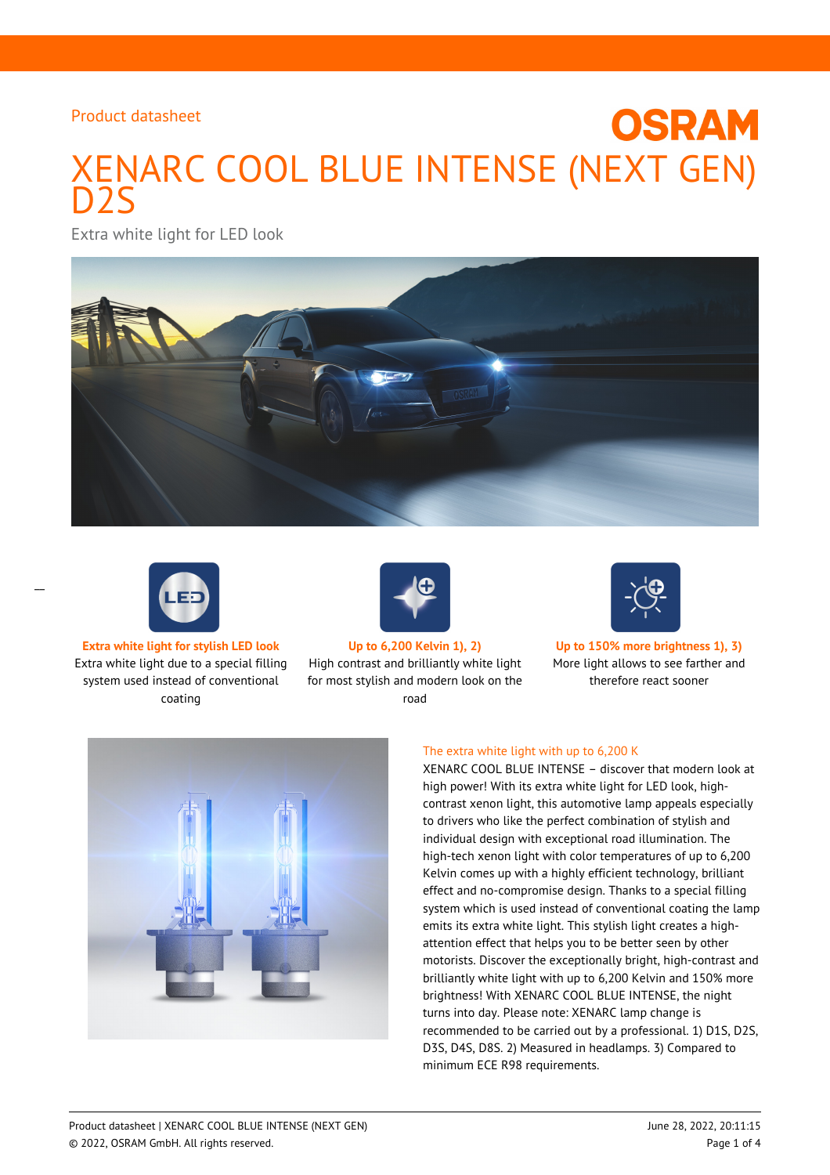# XENARC COOL BLUE INTENSE (NEXT GEN) D2S

Extra white light for LED look





 $\overline{a}$ 

Extra white light due to a special filling system used instead of conventional coating



High contrast and brilliantly white light for most stylish and modern look on the road



**OSRAM** 

**Extra white light for stylish LED look Up to 6,200 Kelvin 1), 2) Up to 150% more brightness 1), 3)** More light allows to see farther and therefore react sooner



## The extra white light with up to 6,200 K

XENARC COOL BLUE INTENSE – discover that modern look at high power! With its extra white light for LED look, highcontrast xenon light, this automotive lamp appeals especially to drivers who like the perfect combination of stylish and individual design with exceptional road illumination. The high-tech xenon light with color temperatures of up to 6,200 Kelvin comes up with a highly efficient technology, brilliant effect and no-compromise design. Thanks to a special filling system which is used instead of conventional coating the lamp emits its extra white light. This stylish light creates a highattention effect that helps you to be better seen by other motorists. Discover the exceptionally bright, high-contrast and brilliantly white light with up to 6,200 Kelvin and 150% more brightness! With XENARC COOL BLUE INTENSE, the night turns into day. Please note: XENARC lamp change is recommended to be carried out by a professional. 1) D1S, D2S, D3S, D4S, D8S. 2) Measured in headlamps. 3) Compared to minimum ECE R98 requirements.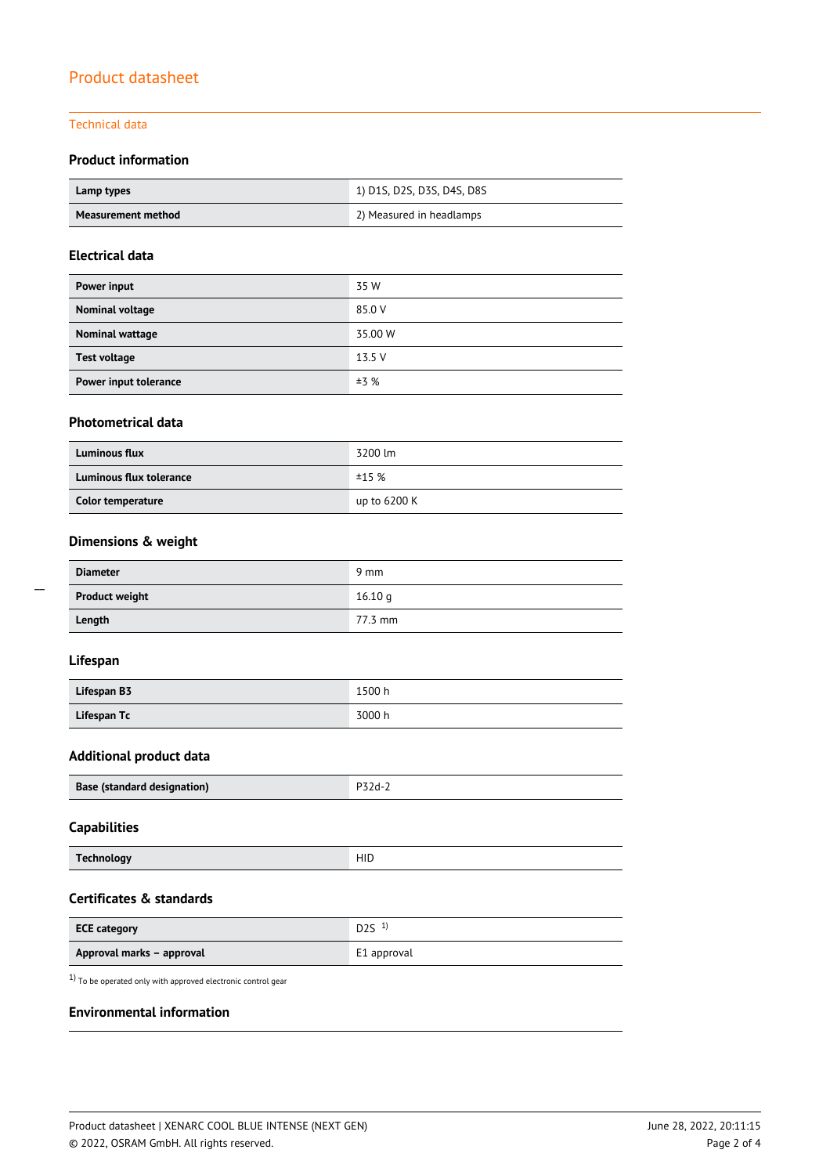## Technical data

## **Product information**

| Lamp types         | 1) D1S, D2S, D3S, D4S, D8S |
|--------------------|----------------------------|
| Measurement method | 2) Measured in headlamps   |

## **Electrical data**

| Power input           | 35 W    |
|-----------------------|---------|
| Nominal voltage       | 85.0 V  |
| Nominal wattage       | 35.00 W |
| <b>Test voltage</b>   | 13.5 V  |
| Power input tolerance | ±3%     |

## **Photometrical data**

| <b>Luminous flux</b>    | 3200 lm      |
|-------------------------|--------------|
| Luminous flux tolerance | ±15%         |
| Color temperature       | up to 6200 K |

## **Dimensions & weight**

| <b>Diameter</b>       | $9 \text{ mm}$ |
|-----------------------|----------------|
| <b>Product weight</b> | 16.10q         |
| Length                | 77.3 mm        |

## **Lifespan**

| Lifespan B3 | 1500 h |
|-------------|--------|
| Lifespan Tc | 3000 h |

## **Additional product data**

| Base (standard designation) |  |
|-----------------------------|--|
|                             |  |

## **Capabilities**

| $T_{\alpha}$<br>rechnology | HID |
|----------------------------|-----|
|                            |     |

## **Certificates & standards**

| <b>ECE category</b>       | D2S <sup>1</sup> |
|---------------------------|------------------|
| Approval marks - approval | E1 approval      |

 $1)$  To be operated only with approved electronic control gear

## **Environmental information**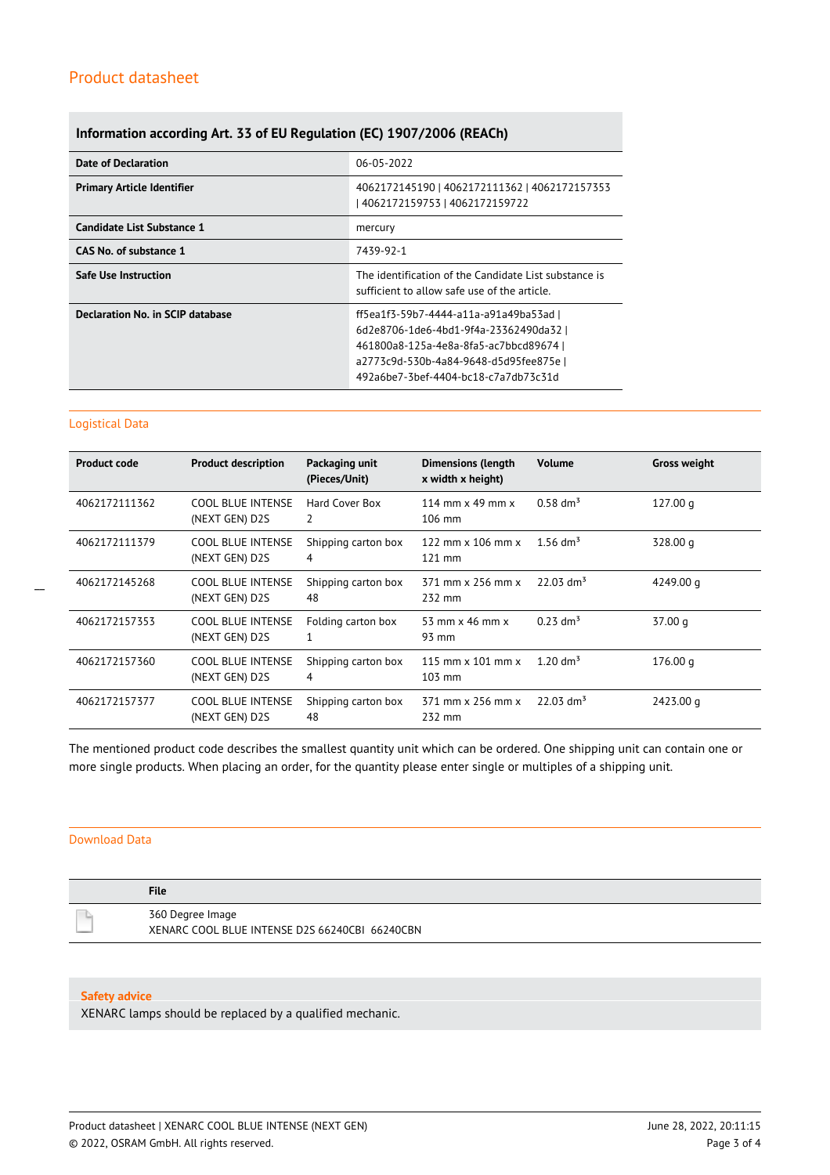## **Information according Art. 33 of EU Regulation (EC) 1907/2006 (REACh)**

| <b>Date of Declaration</b>        | 06-05-2022                                                                                                                                                                                                   |
|-----------------------------------|--------------------------------------------------------------------------------------------------------------------------------------------------------------------------------------------------------------|
| <b>Primary Article Identifier</b> | 4062172145190   4062172111362   4062172157353<br>  4062172159753   4062172159722                                                                                                                             |
| Candidate List Substance 1        | mercury                                                                                                                                                                                                      |
| CAS No. of substance 1            | 7439-92-1                                                                                                                                                                                                    |
| <b>Safe Use Instruction</b>       | The identification of the Candidate List substance is<br>sufficient to allow safe use of the article.                                                                                                        |
| Declaration No. in SCIP database  | ff5ea1f3-59b7-4444-a11a-a91a49ba53ad l<br>6d2e8706-1de6-4bd1-9f4a-23362490da32 l<br>461800a8-125a-4e8a-8fa5-ac7bbcd89674  <br>a2773c9d-530b-4a84-9648-d5d95fee875e  <br>492a6be7-3bef-4404-bc18-c7a7db73c31d |

#### Logistical Data

 $\overline{a}$ 

| <b>Product code</b> | <b>Product description</b>                 | Packaging unit<br>(Pieces/Unit) | <b>Dimensions (length</b><br>x width x height)     | <b>Volume</b>           | <b>Gross weight</b> |
|---------------------|--------------------------------------------|---------------------------------|----------------------------------------------------|-------------------------|---------------------|
| 4062172111362       | <b>COOL BLUE INTENSE</b><br>(NEXT GEN) D2S | Hard Cover Box<br>2             | 114 mm $\times$ 49 mm $\times$<br>$106 \text{ mm}$ | $0.58 \text{ dm}^3$     | 127.00 <sub>q</sub> |
| 4062172111379       | <b>COOL BLUE INTENSE</b><br>(NEXT GEN) D2S | Shipping carton box<br>4        | 122 mm $\times$ 106 mm $\times$<br>$121$ mm        | 1.56 dm <sup>3</sup>    | 328.00 g            |
| 4062172145268       | COOL BLUE INTENSE<br>(NEXT GEN) D2S        | Shipping carton box<br>48       | 371 mm x 256 mm x<br>232 mm                        | $22.03$ dm <sup>3</sup> | 4249.00 g           |
| 4062172157353       | <b>COOL BLUE INTENSE</b><br>(NEXT GEN) D2S | Folding carton box              | 53 mm $\times$ 46 mm $\times$<br>93 mm             | $0.23$ dm <sup>3</sup>  | 37.00 g             |
| 4062172157360       | <b>COOL BLUE INTENSE</b><br>(NEXT GEN) D2S | Shipping carton box<br>4        | 115 mm $\times$ 101 mm $\times$<br>$103$ mm        | 1.20 $\rm{dm^3}$        | 176.00 g            |
| 4062172157377       | <b>COOL BLUE INTENSE</b><br>(NEXT GEN) D2S | Shipping carton box<br>48       | 371 mm x 256 mm x<br>232 mm                        | $22.03$ dm <sup>3</sup> | 2423.00 g           |

The mentioned product code describes the smallest quantity unit which can be ordered. One shipping unit can contain one or more single products. When placing an order, for the quantity please enter single or multiples of a shipping unit.

## Download Data

| <b>File</b>                                                        |
|--------------------------------------------------------------------|
| 360 Degree Image<br>XENARC COOL BLUE INTENSE D2S 66240CBI 66240CBN |

#### **Safety advice**

XENARC lamps should be replaced by a qualified mechanic.